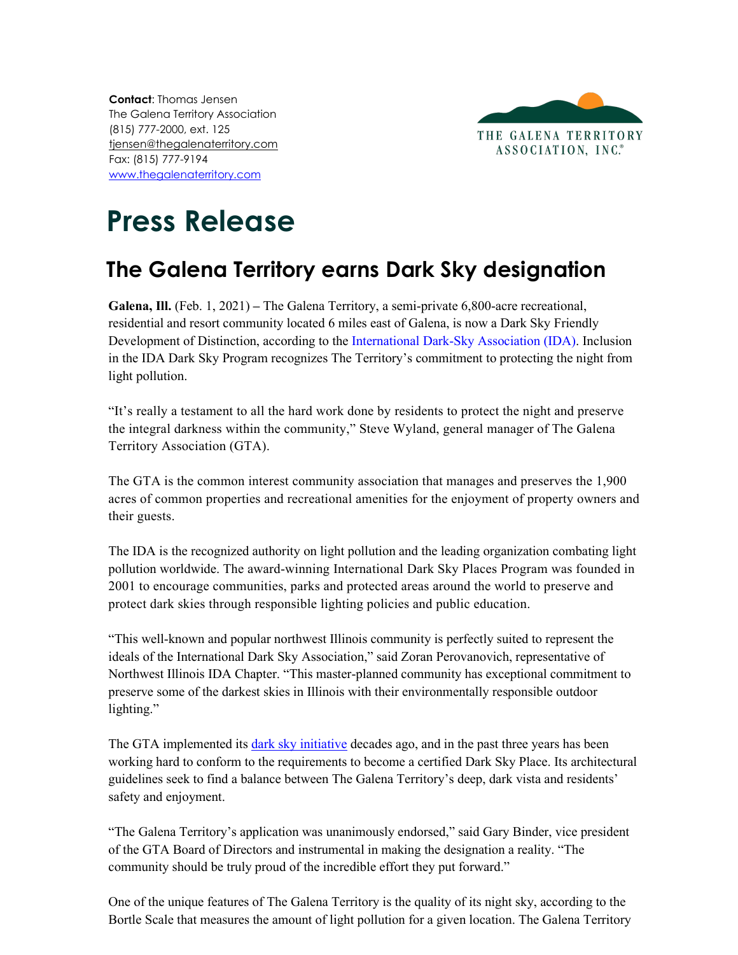**Contact**: Thomas Jensen The Galena Territory Association (815) 777-2000, ext. 125 [tjensen@thegalenaterritory.com](mailto:tjensen@thegalenaterritory.com) Fax: (815) 777-9194 [www.thegalenaterritory.com](http://www.thegalenaterritory.com/)



## **Press Release**

## **The Galena Territory earns Dark Sky designation**

**Galena, Ill.** (Feb. 1, 2021) **–** The Galena Territory, a semi-private 6,800-acre recreational, residential and resort community located 6 miles east of Galena, is now a Dark Sky Friendly Development of Distinction, according to the International [Dark-Sky Association \(IDA\).](https://www.darksky.org/) Inclusion in the IDA Dark Sky Program recognizes The Territory's commitment to protecting the night from light pollution.

"It's really a testament to all the hard work done by residents to protect the night and preserve the integral darkness within the community," Steve Wyland, general manager of The Galena Territory Association (GTA).

The GTA is the common interest community association that manages and preserves the 1,900 acres of common properties and recreational amenities for the enjoyment of property owners and their guests.

The IDA is the recognized authority on light pollution and the leading organization combating light pollution worldwide. The [award-winning](https://www.darksky.org/ida-receives-national-environmental-award/) International Dark Sky Places Program was founded in 2001 to encourage communities, parks and protected areas around the world to preserve and protect dark skies through responsible lighting policies and public education.

"This well-known and popular northwest Illinois community is perfectly suited to represent the ideals of the International Dark Sky Association," said Zoran Perovanovich, representative of Northwest Illinois IDA Chapter. "This master-planned community has exceptional commitment to preserve some of the darkest skies in Illinois with their environmentally responsible outdoor lighting."

The GTA implemented its [dark sky initiative](https://thegalenaterritory.com/group/pages/dark-skies) decades ago, and in the past three years has been working hard to conform to the requirements to become a certified Dark Sky Place. Its architectural guidelines seek to find a balance between The Galena Territory's deep, dark vista and residents' safety and enjoyment.

"The Galena Territory's application was unanimously endorsed," said Gary Binder, vice president of the GTA Board of Directors and instrumental in making the designation a reality. "The community should be truly proud of the incredible effort they put forward."

One of the unique features of The Galena Territory is the quality of its night sky, according to the Bortle Scale that measures the amount of light pollution for a given location. The Galena Territory